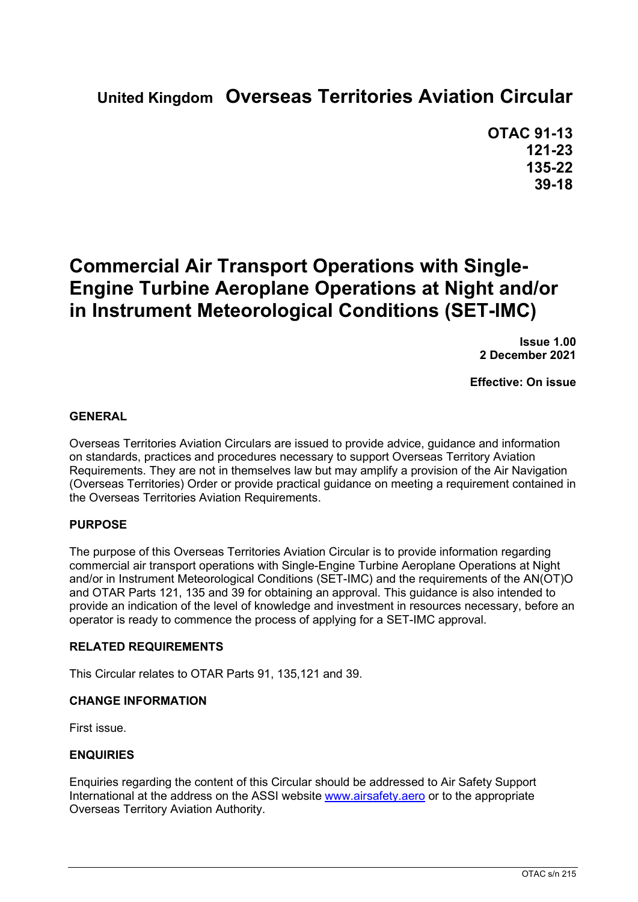# **United Kingdom Overseas Territories Aviation Circular**

**OTAC 91-13 121-23 135-22 39-18**

# **Commercial Air Transport Operations with Single-Engine Turbine Aeroplane Operations at Night and/or in Instrument Meteorological Conditions (SET-IMC)**

**Issue 1.00 2 December 2021**

**Effective: On issue**

#### **GENERAL**

Overseas Territories Aviation Circulars are issued to provide advice, guidance and information on standards, practices and procedures necessary to support Overseas Territory Aviation Requirements. They are not in themselves law but may amplify a provision of the Air Navigation (Overseas Territories) Order or provide practical guidance on meeting a requirement contained in the Overseas Territories Aviation Requirements.

#### **PURPOSE**

The purpose of this Overseas Territories Aviation Circular is to provide information regarding commercial air transport operations with Single-Engine Turbine Aeroplane Operations at Night and/or in Instrument Meteorological Conditions (SET-IMC) and the requirements of the AN(OT)O and OTAR Parts 121, 135 and 39 for obtaining an approval. This guidance is also intended to provide an indication of the level of knowledge and investment in resources necessary, before an operator is ready to commence the process of applying for a SET-IMC approval.

#### **RELATED REQUIREMENTS**

This Circular relates to OTAR Parts 91, 135,121 and 39.

#### **CHANGE INFORMATION**

First issue.

#### **ENQUIRIES**

Enquiries regarding the content of this Circular should be addressed to Air Safety Support International at the address on the ASSI website [www.airsafety.aero](http://www.airsafety.aero/) or to the appropriate Overseas Territory Aviation Authority.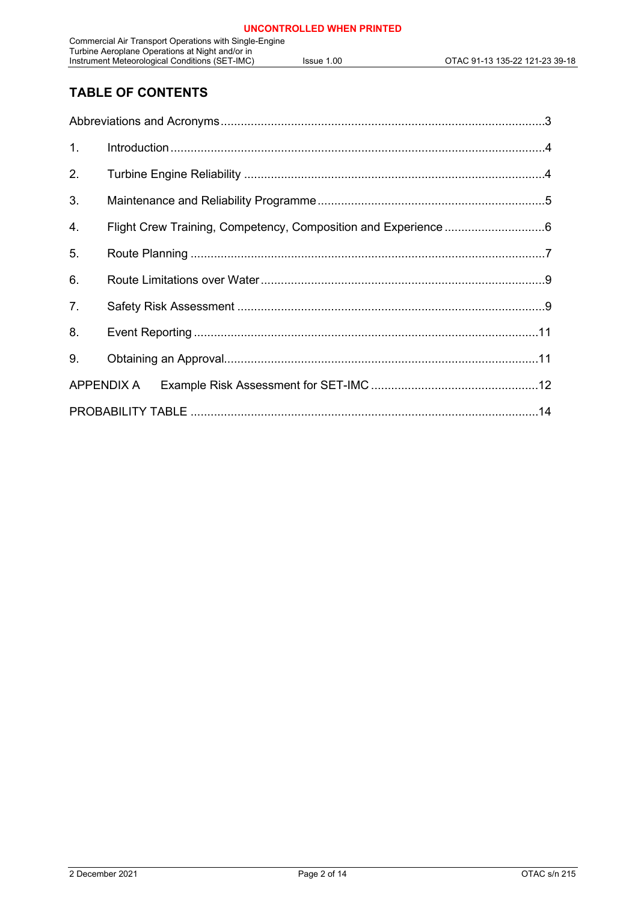## **TABLE OF CONTENTS**

| 1.             |                                                                |  |  |  |  |  |
|----------------|----------------------------------------------------------------|--|--|--|--|--|
| 2.             |                                                                |  |  |  |  |  |
| 3.             |                                                                |  |  |  |  |  |
| 4.             | Flight Crew Training, Competency, Composition and Experience 6 |  |  |  |  |  |
| 5.             |                                                                |  |  |  |  |  |
| 6.             |                                                                |  |  |  |  |  |
| 7 <sub>1</sub> |                                                                |  |  |  |  |  |
| 8.             |                                                                |  |  |  |  |  |
| 9.             |                                                                |  |  |  |  |  |
| APPENDIX A     |                                                                |  |  |  |  |  |
|                |                                                                |  |  |  |  |  |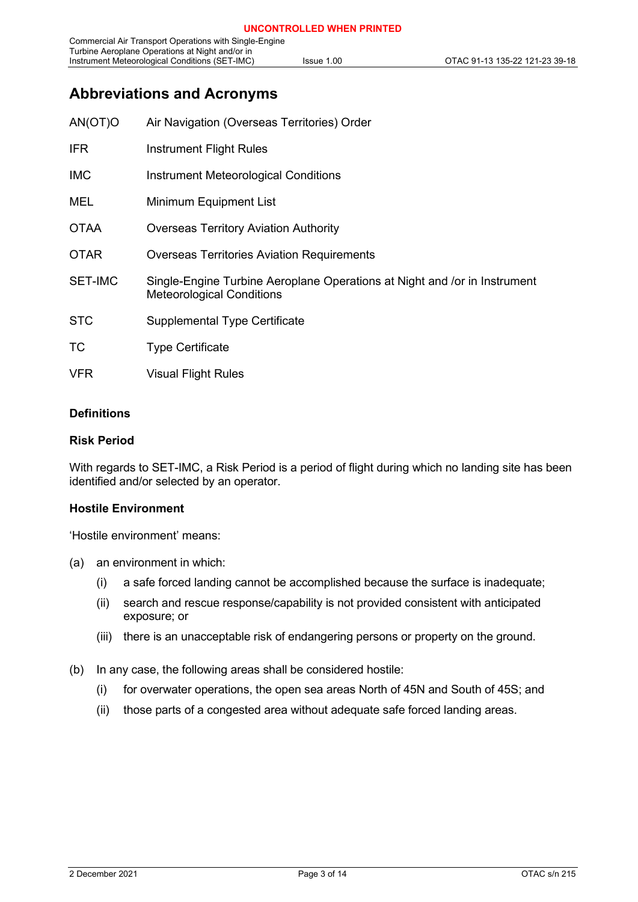## <span id="page-2-0"></span>**Abbreviations and Acronyms**

| AN(OT)O        | Air Navigation (Overseas Territories) Order                                                                   |
|----------------|---------------------------------------------------------------------------------------------------------------|
| <b>IFR</b>     | Instrument Flight Rules                                                                                       |
| <b>IMC</b>     | Instrument Meteorological Conditions                                                                          |
| MEL            | Minimum Equipment List                                                                                        |
| <b>OTAA</b>    | <b>Overseas Territory Aviation Authority</b>                                                                  |
| <b>OTAR</b>    | <b>Overseas Territories Aviation Requirements</b>                                                             |
| <b>SET-IMC</b> | Single-Engine Turbine Aeroplane Operations at Night and /or in Instrument<br><b>Meteorological Conditions</b> |
| <b>STC</b>     | <b>Supplemental Type Certificate</b>                                                                          |
| <b>TC</b>      | <b>Type Certificate</b>                                                                                       |
| <b>VFR</b>     | <b>Visual Flight Rules</b>                                                                                    |
|                |                                                                                                               |

#### **Definitions**

#### **Risk Period**

With regards to SET-IMC, a Risk Period is a period of flight during which no landing site has been identified and/or selected by an operator.

#### **Hostile Environment**

'Hostile environment' means:

- (a) an environment in which:
	- (i) a safe forced landing cannot be accomplished because the surface is inadequate;
	- (ii) search and rescue response/capability is not provided consistent with anticipated exposure; or
	- (iii) there is an unacceptable risk of endangering persons or property on the ground.
- (b) In any case, the following areas shall be considered hostile:
	- (i) for overwater operations, the open sea areas North of 45N and South of 45S; and
	- (ii) those parts of a congested area without adequate safe forced landing areas.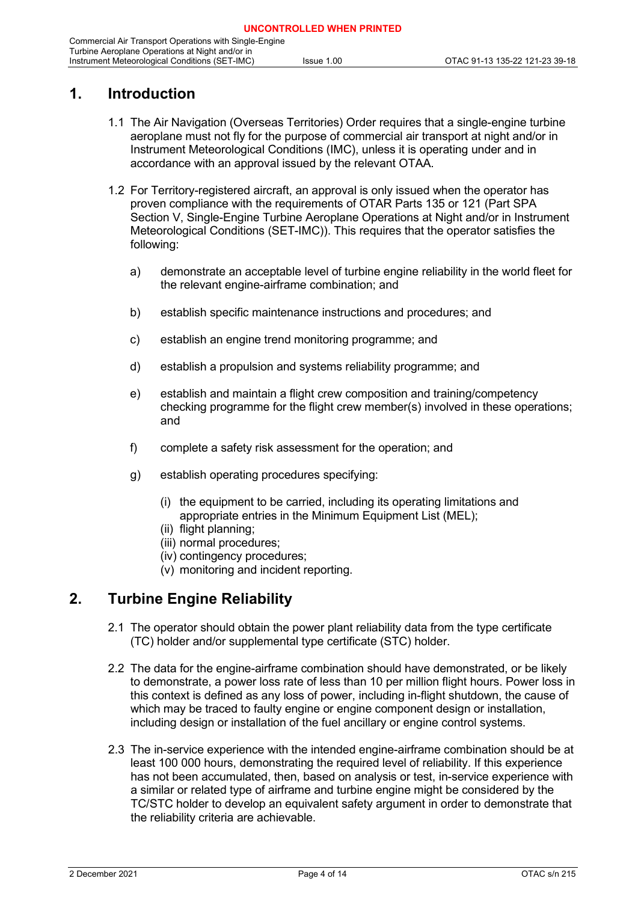## <span id="page-3-0"></span>**1. Introduction**

- 1.1 The Air Navigation (Overseas Territories) Order requires that a single-engine turbine aeroplane must not fly for the purpose of commercial air transport at night and/or in Instrument Meteorological Conditions (IMC), unless it is operating under and in accordance with an approval issued by the relevant OTAA.
- 1.2 For Territory-registered aircraft, an approval is only issued when the operator has proven compliance with the requirements of OTAR Parts 135 or 121 (Part SPA Section V, Single-Engine Turbine Aeroplane Operations at Night and/or in Instrument Meteorological Conditions (SET-IMC)). This requires that the operator satisfies the following:
	- a) demonstrate an acceptable level of turbine engine reliability in the world fleet for the relevant engine-airframe combination; and
	- b) establish specific maintenance instructions and procedures; and
	- c) establish an engine trend monitoring programme; and
	- d) establish a propulsion and systems reliability programme; and
	- e) establish and maintain a flight crew composition and training/competency checking programme for the flight crew member(s) involved in these operations; and
	- f) complete a safety risk assessment for the operation; and
	- g) establish operating procedures specifying:
		- (i) the equipment to be carried, including its operating limitations and appropriate entries in the Minimum Equipment List (MEL);
		- (ii) flight planning;
		- (iii) normal procedures;
		- (iv) contingency procedures;
		- (v) monitoring and incident reporting.

## <span id="page-3-1"></span>**2. Turbine Engine Reliability**

- 2.1 The operator should obtain the power plant reliability data from the type certificate (TC) holder and/or supplemental type certificate (STC) holder.
- 2.2 The data for the engine-airframe combination should have demonstrated, or be likely to demonstrate, a power loss rate of less than 10 per million flight hours. Power loss in this context is defined as any loss of power, including in-flight shutdown, the cause of which may be traced to faulty engine or engine component design or installation, including design or installation of the fuel ancillary or engine control systems.
- 2.3 The in-service experience with the intended engine-airframe combination should be at least 100 000 hours, demonstrating the required level of reliability. If this experience has not been accumulated, then, based on analysis or test, in-service experience with a similar or related type of airframe and turbine engine might be considered by the TC/STC holder to develop an equivalent safety argument in order to demonstrate that the reliability criteria are achievable.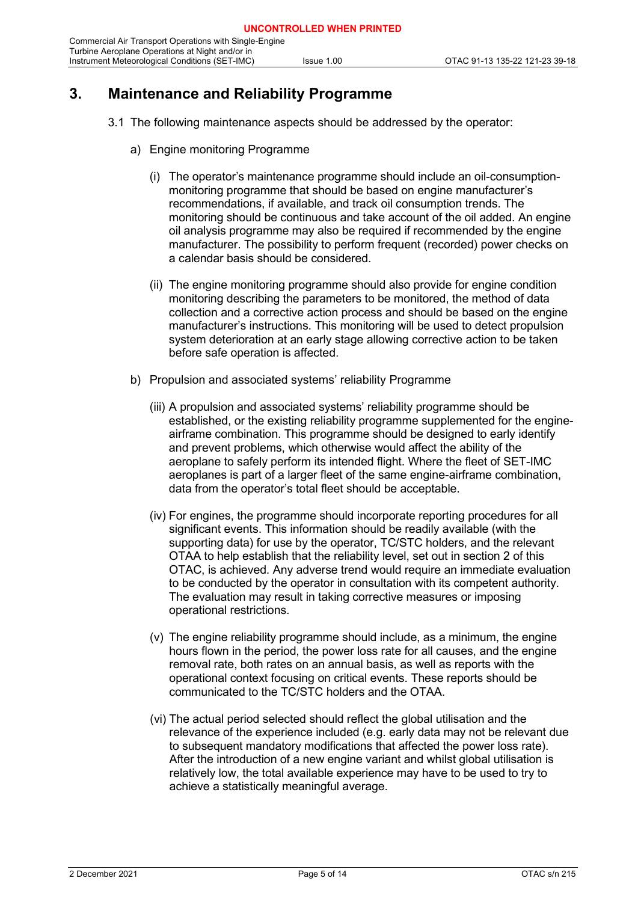## <span id="page-4-0"></span>**3. Maintenance and Reliability Programme**

- 3.1 The following maintenance aspects should be addressed by the operator:
	- a) Engine monitoring Programme
		- (i) The operator's maintenance programme should include an oil-consumptionmonitoring programme that should be based on engine manufacturer's recommendations, if available, and track oil consumption trends. The monitoring should be continuous and take account of the oil added. An engine oil analysis programme may also be required if recommended by the engine manufacturer. The possibility to perform frequent (recorded) power checks on a calendar basis should be considered.
		- (ii) The engine monitoring programme should also provide for engine condition monitoring describing the parameters to be monitored, the method of data collection and a corrective action process and should be based on the engine manufacturer's instructions. This monitoring will be used to detect propulsion system deterioration at an early stage allowing corrective action to be taken before safe operation is affected.
	- b) Propulsion and associated systems' reliability Programme
		- (iii) A propulsion and associated systems' reliability programme should be established, or the existing reliability programme supplemented for the engineairframe combination. This programme should be designed to early identify and prevent problems, which otherwise would affect the ability of the aeroplane to safely perform its intended flight. Where the fleet of SET-IMC aeroplanes is part of a larger fleet of the same engine-airframe combination, data from the operator's total fleet should be acceptable.
		- (iv) For engines, the programme should incorporate reporting procedures for all significant events. This information should be readily available (with the supporting data) for use by the operator, TC/STC holders, and the relevant OTAA to help establish that the reliability level, set out in section 2 of this OTAC, is achieved. Any adverse trend would require an immediate evaluation to be conducted by the operator in consultation with its competent authority. The evaluation may result in taking corrective measures or imposing operational restrictions.
		- (v) The engine reliability programme should include, as a minimum, the engine hours flown in the period, the power loss rate for all causes, and the engine removal rate, both rates on an annual basis, as well as reports with the operational context focusing on critical events. These reports should be communicated to the TC/STC holders and the OTAA.
		- (vi) The actual period selected should reflect the global utilisation and the relevance of the experience included (e.g. early data may not be relevant due to subsequent mandatory modifications that affected the power loss rate). After the introduction of a new engine variant and whilst global utilisation is relatively low, the total available experience may have to be used to try to achieve a statistically meaningful average.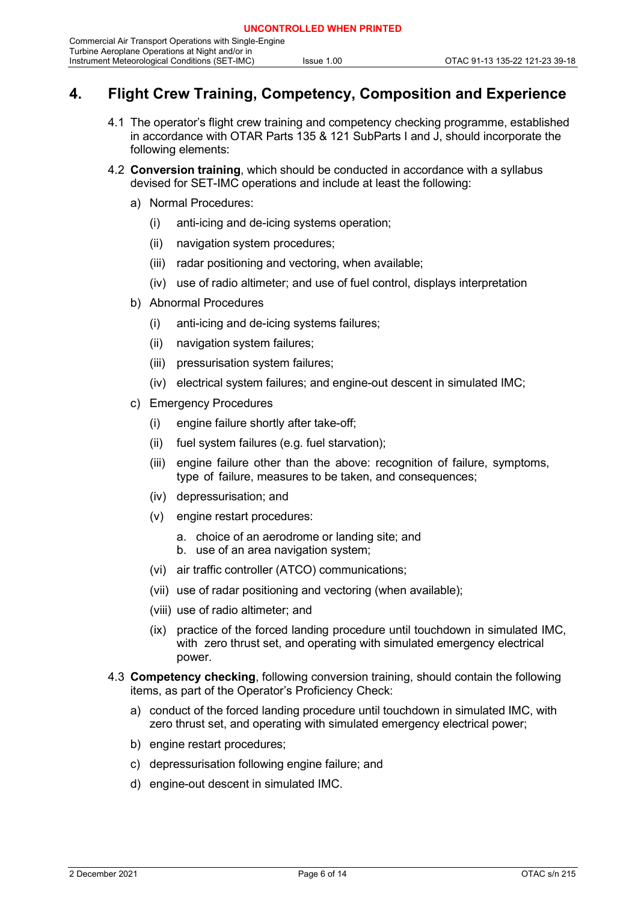## <span id="page-5-0"></span>**4. Flight Crew Training, Competency, Composition and Experience**

- 4.1 The operator's flight crew training and competency checking programme, established in accordance with OTAR Parts 135 & 121 SubParts I and J, should incorporate the following elements:
- 4.2 **Conversion training**, which should be conducted in accordance with a syllabus devised for SET-IMC operations and include at least the following:
	- a) Normal Procedures:
		- (i) anti-icing and de-icing systems operation;
		- (ii) navigation system procedures;
		- (iii) radar positioning and vectoring, when available;
		- (iv) use of radio altimeter; and use of fuel control, displays interpretation
	- b) Abnormal Procedures
		- (i) anti-icing and de-icing systems failures;
		- (ii) navigation system failures;
		- (iii) pressurisation system failures;
		- (iv) electrical system failures; and engine-out descent in simulated IMC;
	- c) Emergency Procedures
		- (i) engine failure shortly after take-off;
		- (ii) fuel system failures (e.g. fuel starvation);
		- (iii) engine failure other than the above: recognition of failure, symptoms, type of failure, measures to be taken, and consequences;
		- (iv) depressurisation; and
		- (v) engine restart procedures:
			- a. choice of an aerodrome or landing site; and
			- b. use of an area navigation system;
		- (vi) air traffic controller (ATCO) communications;
		- (vii) use of radar positioning and vectoring (when available);
		- (viii) use of radio altimeter; and
		- (ix) practice of the forced landing procedure until touchdown in simulated IMC, with zero thrust set, and operating with simulated emergency electrical power.
- 4.3 **Competency checking**, following conversion training, should contain the following items, as part of the Operator's Proficiency Check:
	- a) conduct of the forced landing procedure until touchdown in simulated IMC, with zero thrust set, and operating with simulated emergency electrical power;
	- b) engine restart procedures;
	- c) depressurisation following engine failure; and
	- d) engine-out descent in simulated IMC.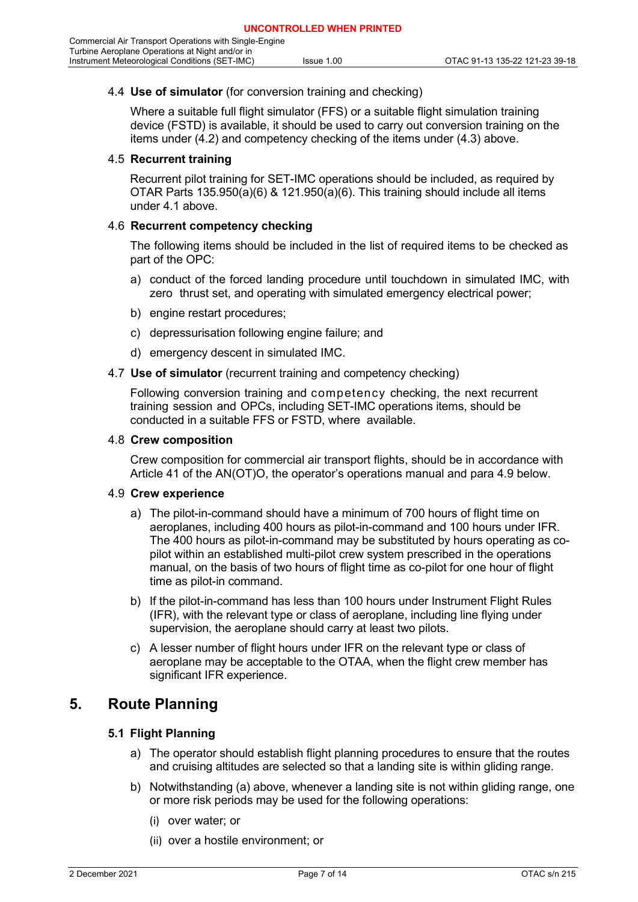#### 4.4 **Use of simulator** (for conversion training and checking)

Where a suitable full flight simulator (FFS) or a suitable flight simulation training device (FSTD) is available, it should be used to carry out conversion training on the items under (4.2) and competency checking of the items under (4.3) above.

#### 4.5 **Recurrent training**

Recurrent pilot training for SET-IMC operations should be included, as required by OTAR Parts 135.950(a)(6) & 121.950(a)(6). This training should include all items under 4.1 above.

#### 4.6 **Recurrent competency checking**

The following items should be included in the list of required items to be checked as part of the OPC:

- a) conduct of the forced landing procedure until touchdown in simulated IMC, with zero thrust set, and operating with simulated emergency electrical power;
- b) engine restart procedures;
- c) depressurisation following engine failure; and
- d) emergency descent in simulated IMC.
- 4.7 **Use of simulator** (recurrent training and competency checking)

Following conversion training and competency checking, the next recurrent training session and OPCs, including SET-IMC operations items, should be conducted in a suitable FFS or FSTD, where available.

#### 4.8 **Crew composition**

Crew composition for commercial air transport flights, should be in accordance with Article 41 of the AN(OT)O, the operator's operations manual and para 4.9 below.

#### 4.9 **Crew experience**

- a) The pilot-in-command should have a minimum of 700 hours of flight time on aeroplanes, including 400 hours as pilot-in-command and 100 hours under IFR. The 400 hours as pilot-in-command may be substituted by hours operating as copilot within an established multi-pilot crew system prescribed in the operations manual, on the basis of two hours of flight time as co-pilot for one hour of flight time as pilot-in command.
- b) If the pilot-in-command has less than 100 hours under Instrument Flight Rules (IFR), with the relevant type or class of aeroplane, including line flying under supervision, the aeroplane should carry at least two pilots.
- c) A lesser number of flight hours under IFR on the relevant type or class of aeroplane may be acceptable to the OTAA, when the flight crew member has significant IFR experience.

### <span id="page-6-0"></span>**5. Route Planning**

#### **5.1 Flight Planning**

- a) The operator should establish flight planning procedures to ensure that the routes and cruising altitudes are selected so that a landing site is within gliding range.
- b) Notwithstanding (a) above, whenever a landing site is not within gliding range, one or more risk periods may be used for the following operations:
	- (i) over water; or
	- (ii) over a hostile environment; or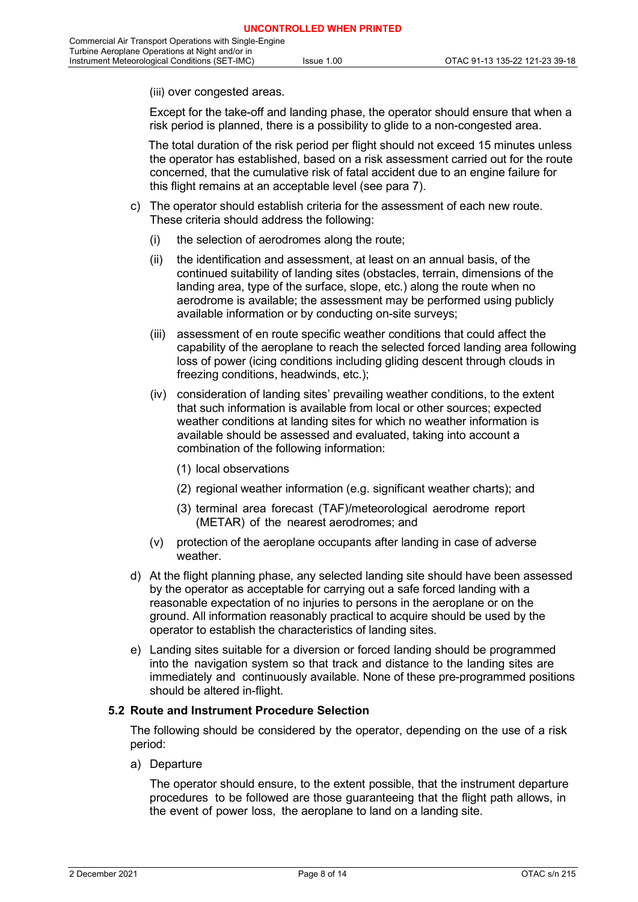(iii) over congested areas.

Except for the take-off and landing phase, the operator should ensure that when a risk period is planned, there is a possibility to glide to a non-congested area.

The total duration of the risk period per flight should not exceed 15 minutes unless the operator has established, based on a risk assessment carried out for the route concerned, that the cumulative risk of fatal accident due to an engine failure for this flight remains at an acceptable level (see para 7).

- c) The operator should establish criteria for the assessment of each new route. These criteria should address the following:
	- (i) the selection of aerodromes along the route;
	- (ii) the identification and assessment, at least on an annual basis, of the continued suitability of landing sites (obstacles, terrain, dimensions of the landing area, type of the surface, slope, etc.) along the route when no aerodrome is available; the assessment may be performed using publicly available information or by conducting on-site surveys;
	- (iii) assessment of en route specific weather conditions that could affect the capability of the aeroplane to reach the selected forced landing area following loss of power (icing conditions including gliding descent through clouds in freezing conditions, headwinds, etc.);
	- (iv) consideration of landing sites' prevailing weather conditions, to the extent that such information is available from local or other sources; expected weather conditions at landing sites for which no weather information is available should be assessed and evaluated, taking into account a combination of the following information:
		- (1) local observations
		- (2) regional weather information (e.g. significant weather charts); and
		- (3) terminal area forecast (TAF)/meteorological aerodrome report (METAR) of the nearest aerodromes; and
	- (v) protection of the aeroplane occupants after landing in case of adverse weather.
- d) At the flight planning phase, any selected landing site should have been assessed by the operator as acceptable for carrying out a safe forced landing with a reasonable expectation of no injuries to persons in the aeroplane or on the ground. All information reasonably practical to acquire should be used by the operator to establish the characteristics of landing sites.
- e) Landing sites suitable for a diversion or forced landing should be programmed into the navigation system so that track and distance to the landing sites are immediately and continuously available. None of these pre-programmed positions should be altered in-flight.

#### **5.2 Route and Instrument Procedure Selection**

The following should be considered by the operator, depending on the use of a risk period:

a) Departure

The operator should ensure, to the extent possible, that the instrument departure procedures to be followed are those guaranteeing that the flight path allows, in the event of power loss, the aeroplane to land on a landing site.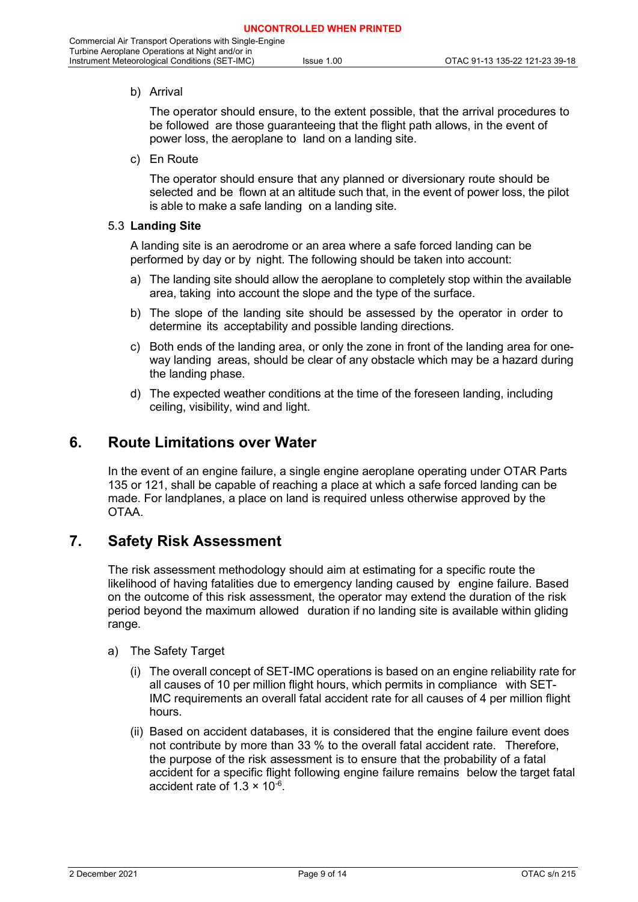#### b) Arrival

The operator should ensure, to the extent possible, that the arrival procedures to be followed are those guaranteeing that the flight path allows, in the event of power loss, the aeroplane to land on a landing site.

c) En Route

The operator should ensure that any planned or diversionary route should be selected and be flown at an altitude such that, in the event of power loss, the pilot is able to make a safe landing on a landing site.

#### 5.3 **Landing Site**

A landing site is an aerodrome or an area where a safe forced landing can be performed by day or by night. The following should be taken into account:

- a) The landing site should allow the aeroplane to completely stop within the available area, taking into account the slope and the type of the surface.
- b) The slope of the landing site should be assessed by the operator in order to determine its acceptability and possible landing directions.
- c) Both ends of the landing area, or only the zone in front of the landing area for oneway landing areas, should be clear of any obstacle which may be a hazard during the landing phase.
- d) The expected weather conditions at the time of the foreseen landing, including ceiling, visibility, wind and light.

### <span id="page-8-0"></span>**6. Route Limitations over Water**

In the event of an engine failure, a single engine aeroplane operating under OTAR Parts 135 or 121, shall be capable of reaching a place at which a safe forced landing can be made. For landplanes, a place on land is required unless otherwise approved by the OTAA.

### <span id="page-8-1"></span>**7. Safety Risk Assessment**

The risk assessment methodology should aim at estimating for a specific route the likelihood of having fatalities due to emergency landing caused by engine failure. Based on the outcome of this risk assessment, the operator may extend the duration of the risk period beyond the maximum allowed duration if no landing site is available within gliding range.

- a) The Safety Target
	- (i) The overall concept of SET-IMC operations is based on an engine reliability rate for all causes of 10 per million flight hours, which permits in compliance with SET-IMC requirements an overall fatal accident rate for all causes of 4 per million flight hours.
	- (ii) Based on accident databases, it is considered that the engine failure event does not contribute by more than 33 % to the overall fatal accident rate. Therefore, the purpose of the risk assessment is to ensure that the probability of a fatal accident for a specific flight following engine failure remains below the target fatal accident rate of  $1.3 \times 10^{-6}$ .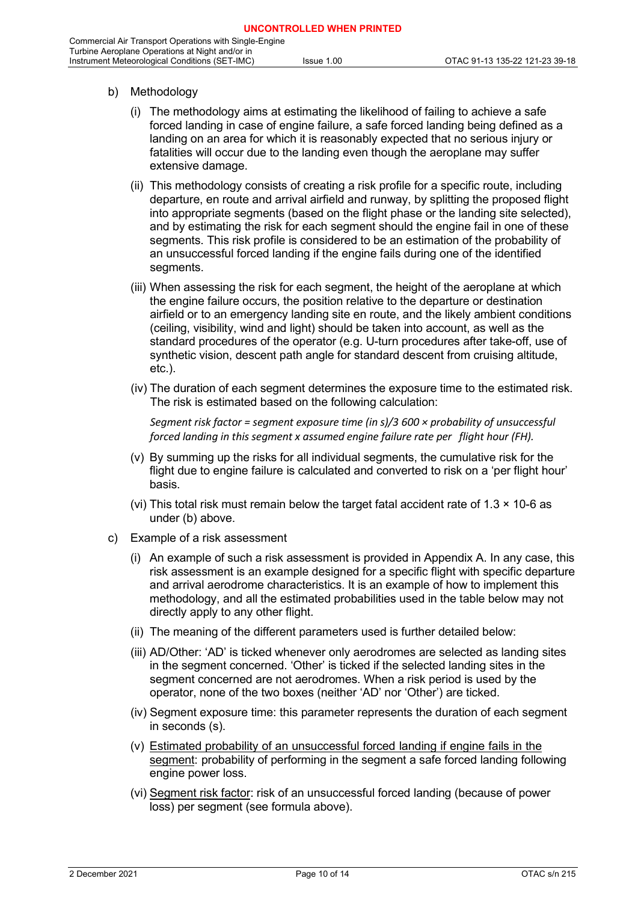- b) Methodology
	- (i) The methodology aims at estimating the likelihood of failing to achieve a safe forced landing in case of engine failure, a safe forced landing being defined as a landing on an area for which it is reasonably expected that no serious injury or fatalities will occur due to the landing even though the aeroplane may suffer extensive damage.
	- (ii) This methodology consists of creating a risk profile for a specific route, including departure, en route and arrival airfield and runway, by splitting the proposed flight into appropriate segments (based on the flight phase or the landing site selected), and by estimating the risk for each segment should the engine fail in one of these segments. This risk profile is considered to be an estimation of the probability of an unsuccessful forced landing if the engine fails during one of the identified segments.
	- (iii) When assessing the risk for each segment, the height of the aeroplane at which the engine failure occurs, the position relative to the departure or destination airfield or to an emergency landing site en route, and the likely ambient conditions (ceiling, visibility, wind and light) should be taken into account, as well as the standard procedures of the operator (e.g. U-turn procedures after take-off, use of synthetic vision, descent path angle for standard descent from cruising altitude, etc.).
	- (iv) The duration of each segment determines the exposure time to the estimated risk. The risk is estimated based on the following calculation:

*Segment risk factor = segment exposure time (in s)/3 600 × probability of unsuccessful forced landing in this segment x assumed engine failure rate per flight hour (FH).*

- (v) By summing up the risks for all individual segments, the cumulative risk for the flight due to engine failure is calculated and converted to risk on a 'per flight hour' basis.
- (vi) This total risk must remain below the target fatal accident rate of  $1.3 \times 10^{-6}$  as under (b) above.
- c) Example of a risk assessment
	- (i) An example of such a risk assessment is provided in Appendix A. In any case, this risk assessment is an example designed for a specific flight with specific departure and arrival aerodrome characteristics. It is an example of how to implement this methodology, and all the estimated probabilities used in the table below may not directly apply to any other flight.
	- (ii) The meaning of the different parameters used is further detailed below:
	- (iii) AD/Other: 'AD' is ticked whenever only aerodromes are selected as landing sites in the segment concerned. 'Other' is ticked if the selected landing sites in the segment concerned are not aerodromes. When a risk period is used by the operator, none of the two boxes (neither 'AD' nor 'Other') are ticked.
	- (iv) Segment exposure time: this parameter represents the duration of each segment in seconds (s).
	- (v) Estimated probability of an unsuccessful forced landing if engine fails in the segment: probability of performing in the segment a safe forced landing following engine power loss.
	- (vi) Segment risk factor: risk of an unsuccessful forced landing (because of power loss) per segment (see formula above).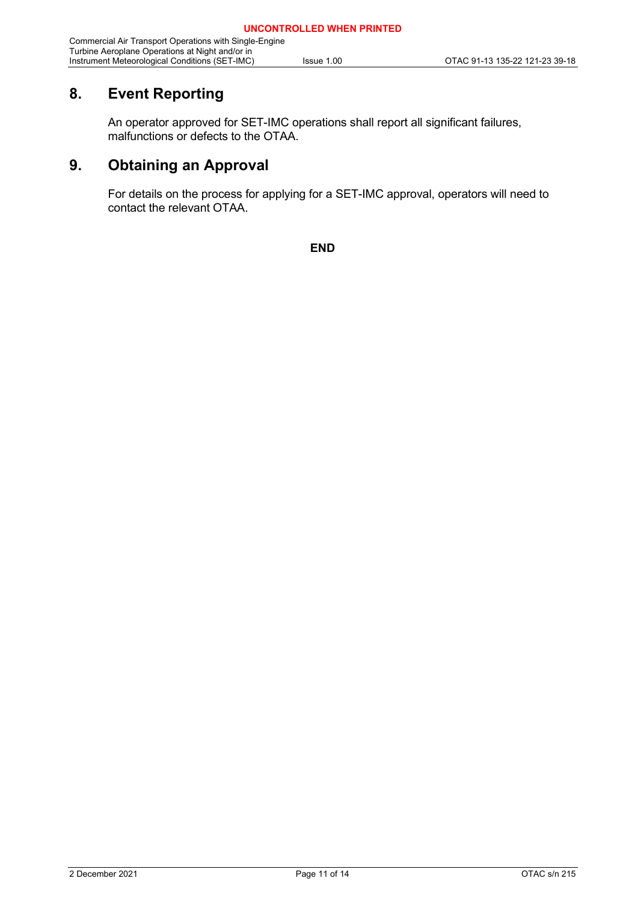## <span id="page-10-0"></span>**8. Event Reporting**

An operator approved for SET-IMC operations shall report all significant failures, malfunctions or defects to the OTAA.

## <span id="page-10-1"></span>**9. Obtaining an Approval**

For details on the process for applying for a SET-IMC approval, operators will need to contact the relevant OTAA.

**END**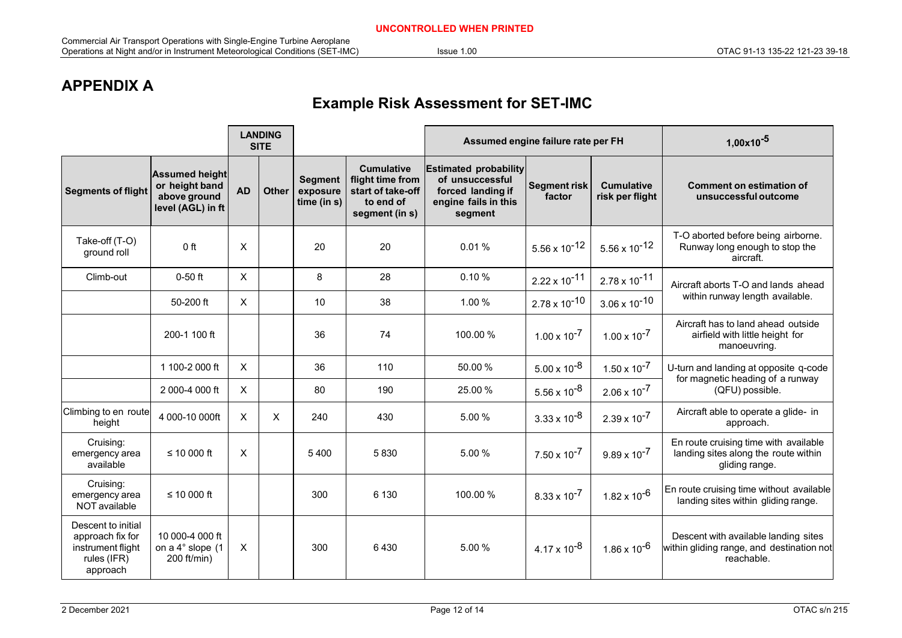## **APPENDIX A**

## **Example Risk Assessment for SET-IMC**

<span id="page-11-0"></span>

|                                                                                        | <b>LANDING</b><br><b>SITE</b>                                                |                           |              |                                              | Assumed engine failure rate per FH                                                        |                                                                                                         |                               | $1,00x10^{-5}$                       |                                                                                                 |
|----------------------------------------------------------------------------------------|------------------------------------------------------------------------------|---------------------------|--------------|----------------------------------------------|-------------------------------------------------------------------------------------------|---------------------------------------------------------------------------------------------------------|-------------------------------|--------------------------------------|-------------------------------------------------------------------------------------------------|
| <b>Segments of flight</b>                                                              | <b>Assumed height</b><br>or height band<br>above ground<br>level (AGL) in ft | <b>AD</b>                 | <b>Other</b> | <b>Segment</b><br>exposure<br>time (in $s$ ) | <b>Cumulative</b><br>flight time from<br>start of take-off<br>to end of<br>segment (in s) | <b>Estimated probability</b><br>of unsuccessful<br>forced landing if<br>engine fails in this<br>segment | <b>Segment risk</b><br>factor | <b>Cumulative</b><br>risk per flight | <b>Comment on estimation of</b><br>unsuccessful outcome                                         |
| Take-off (T-O)<br>ground roll                                                          | 0 <sup>ft</sup>                                                              | X                         |              | 20                                           | 20                                                                                        | 0.01%                                                                                                   | $5.56 \times 10^{-12}$        | $5.56 \times 10^{-12}$               | T-O aborted before being airborne.<br>Runway long enough to stop the<br>aircraft.               |
| Climb-out                                                                              | $0-50$ ft                                                                    | $\mathsf{X}$              |              | 8                                            | 28                                                                                        | 0.10%                                                                                                   | $2.22 \times 10^{-11}$        | $2.78 \times 10^{-11}$               | Aircraft aborts T-O and lands ahead<br>within runway length available.                          |
|                                                                                        | 50-200 ft                                                                    | $\times$                  |              | 10                                           | 38                                                                                        | 1.00%                                                                                                   | $2.78 \times 10^{-10}$        | $3.06 \times 10^{-10}$               |                                                                                                 |
|                                                                                        | 200-1 100 ft                                                                 |                           |              | 36                                           | 74                                                                                        | 100.00 %                                                                                                | $1.00 \times 10^{-7}$         | $1.00 \times 10^{-7}$                | Aircraft has to land ahead outside<br>airfield with little height for<br>manoeuvring.           |
|                                                                                        | 1 100-2 000 ft                                                               | $\mathsf{X}$              |              | 36                                           | 110                                                                                       | 50.00%                                                                                                  | $5.00 \times 10^{-8}$         | $1.50 \times 10^{-7}$                | U-turn and landing at opposite q-code                                                           |
|                                                                                        | 2000-4000 ft                                                                 | X                         |              | 80                                           | 190                                                                                       | 25.00 %                                                                                                 | $5.56 \times 10^{-8}$         | $2.06 \times 10^{-7}$                | for magnetic heading of a runway<br>(QFU) possible.                                             |
| Climbing to en route<br>height                                                         | 4 000-10 000ft                                                               | $\boldsymbol{\mathsf{X}}$ | X            | 240                                          | 430                                                                                       | 5.00 %                                                                                                  | $3.33 \times 10^{-8}$         | $2.39 \times 10^{-7}$                | Aircraft able to operate a glide- in<br>approach.                                               |
| Cruising:<br>emergency area<br>available                                               | ≤ 10 000 $ft$                                                                | X                         |              | 5400                                         | 5830                                                                                      | 5.00 %                                                                                                  | $7.50 \times 10^{-7}$         | $9.89 \times 10^{-7}$                | En route cruising time with available<br>landing sites along the route within<br>gliding range. |
| Cruising:<br>emergency area<br>NOT available                                           | ≤ 10 000 ft                                                                  |                           |              | 300                                          | 6 1 3 0                                                                                   | 100.00%                                                                                                 | $8.33 \times 10^{-7}$         | $1.82 \times 10^{-6}$                | En route cruising time without available<br>landing sites within gliding range.                 |
| Descent to initial<br>approach fix for<br>instrument flight<br>rules (IFR)<br>approach | 10 000-4 000 ft<br>on a 4° slope (1<br>200 ft/min)                           | $\mathsf{X}$              |              | 300                                          | 6430                                                                                      | 5.00 %                                                                                                  | $4.17 \times 10^{-8}$         | $1.86 \times 10^{-6}$                | Descent with available landing sites<br>within gliding range, and destination not<br>reachable. |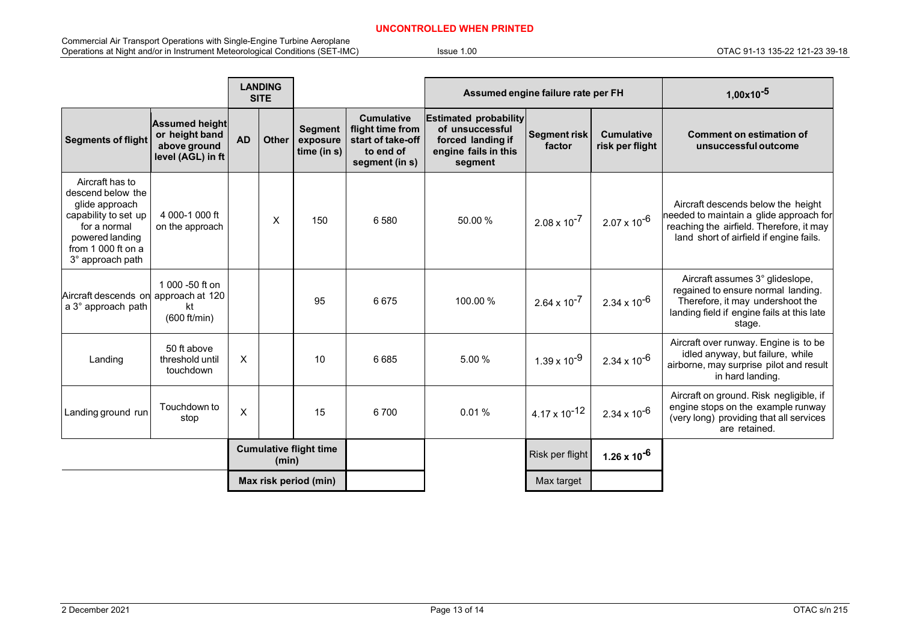#### **UNCONTROLLED WHEN PRINTED**

Commercial Air Transport Operations with Single-Engine Turbine Aeroplane Operations at Night and/or in Instrument Meteorological Conditions (SET-IMC) Issue 1.00 OTAC 91-13 135-22 121-23 39-18

|                                                                                                                                                             |                                                                              | <b>LANDING</b><br><b>SITE</b> |              |                                              | Assumed engine failure rate per FH                                                        |                                                                                                         |                               | $1,00x10^{-5}$                       |                                                                                                                                                                      |
|-------------------------------------------------------------------------------------------------------------------------------------------------------------|------------------------------------------------------------------------------|-------------------------------|--------------|----------------------------------------------|-------------------------------------------------------------------------------------------|---------------------------------------------------------------------------------------------------------|-------------------------------|--------------------------------------|----------------------------------------------------------------------------------------------------------------------------------------------------------------------|
| <b>Segments of flight</b>                                                                                                                                   | <b>Assumed height</b><br>or height band<br>above ground<br>level (AGL) in ft | <b>AD</b>                     | <b>Other</b> | <b>Segment</b><br>exposure<br>time (in $s$ ) | <b>Cumulative</b><br>flight time from<br>start of take-off<br>to end of<br>segment (in s) | <b>Estimated probability</b><br>of unsuccessful<br>forced landing if<br>engine fails in this<br>segment | <b>Segment risk</b><br>factor | <b>Cumulative</b><br>risk per flight | <b>Comment on estimation of</b><br>unsuccessful outcome                                                                                                              |
| Aircraft has to<br>descend below the<br>glide approach<br>capability to set up<br>for a normal<br>powered landing<br>from 1 000 ft on a<br>3° approach path | 4 000-1 000 ft<br>on the approach                                            |                               | X            | 150                                          | 6580                                                                                      | 50.00%                                                                                                  | $2.08 \times 10^{-7}$         | $2.07 \times 10^{-6}$                | Aircraft descends below the height<br>needed to maintain a glide approach for<br>reaching the airfield. Therefore, it may<br>land short of airfield if engine fails. |
| Aircraft descends on approach at 120<br>a 3° approach path                                                                                                  | 1 000 -50 ft on<br>kt<br>(600 ft/min)                                        |                               |              | 95                                           | 6675                                                                                      | 100.00%                                                                                                 | $2.64 \times 10^{-7}$         | $2.34 \times 10^{-6}$                | Aircraft assumes 3° glideslope,<br>regained to ensure normal landing.<br>Therefore, it may undershoot the<br>landing field if engine fails at this late<br>stage.    |
| Landing                                                                                                                                                     | 50 ft above<br>threshold until<br>touchdown                                  | X                             |              | 10                                           | 6685                                                                                      | 5.00%                                                                                                   | $1.39 \times 10^{-9}$         | $2.34 \times 10^{-6}$                | Aircraft over runway. Engine is to be<br>idled anyway, but failure, while<br>airborne, may surprise pilot and result<br>in hard landing.                             |
| Landing ground run                                                                                                                                          | Touchdown to<br>stop                                                         | X                             |              | 15                                           | 6700                                                                                      | 0.01%                                                                                                   | $4.17 \times 10^{-12}$        | $2.34 \times 10^{-6}$                | Aircraft on ground. Risk negligible, if<br>engine stops on the example runway<br>(very long) providing that all services<br>are retained.                            |
|                                                                                                                                                             | <b>Cumulative flight time</b><br>(min)                                       |                               |              |                                              | Risk per flight                                                                           | $1.26 \times 10^{-6}$                                                                                   |                               |                                      |                                                                                                                                                                      |
|                                                                                                                                                             |                                                                              |                               |              | Max risk period (min)                        |                                                                                           |                                                                                                         | Max target                    |                                      |                                                                                                                                                                      |